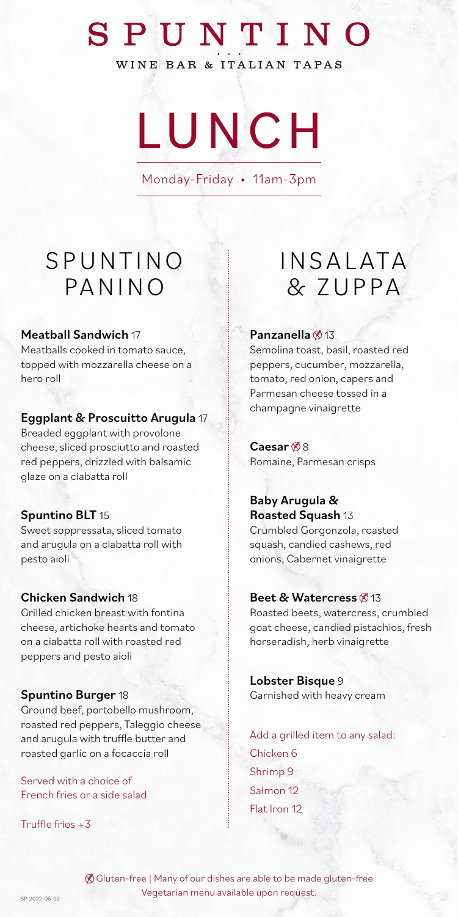# SPUNTINO

WINE BAR & ITALIAN TAPAS

LUNCH

Monday-Friday • 11am-3pm

### **SPUNTINO PANINO**

#### Meatball Sandwich 17

Meatballs cooked in tomato sauce, topped with mozzarella cheese on a hero roll

#### Eggplant & Proscuitto Arugula 17

Breaded eggplant with provolone cheese, sliced prosciutto and roasted red peppers, drizzled with balsamic glaze on a ciabatta roll

#### Spuntino BLT 15

Sweet soppressata, sliced tomato and arugula on a ciabatta roll with pesto aioli

#### Chicken Sandwich 18

Grilled chicken breast with fontina cheese, artichoke hearts and tomato on a ciabatta roll with roasted red peppers and pesto aioli

#### Spuntino Burger 18

Ground beef, portobello mushroom, roasted red peppers, Taleggio cheese and arugula with truffle butter and roasted garlic on a focaccia roll

Served with a choice of French fries or a side salad

Truffle fries +3

## **INSALATA** & Z U P PA

#### Panzanella @13

Semolina toast, basil, roasted red peppers, cucumber, mozzarella, tomato, red onion, capers and Parmesan cheese tossed in a champagne vinaigrette

Caesar $$8$ Romaine, Parmesan crisps

#### Baby Arugula & Roasted Squash 13

Crumbled Gorgonzola, roasted squash, candied cashews, red onions, Cabernet vinaigrette

#### Beet & Watercress @13

Roasted beets, watercress, crumbled goat cheese, candied pistachios, fresh horseradish, herb vinaigrette

Lobster Bisque 9 Garnished with heavy cream

Add a grilled item to any salad: Chicken 6 Shrimp 9 Salmon 12 Flat Iron 12

 Gluten-free | Many of our dishes are able to be made gluten-free Vegetarian menu available upon request.